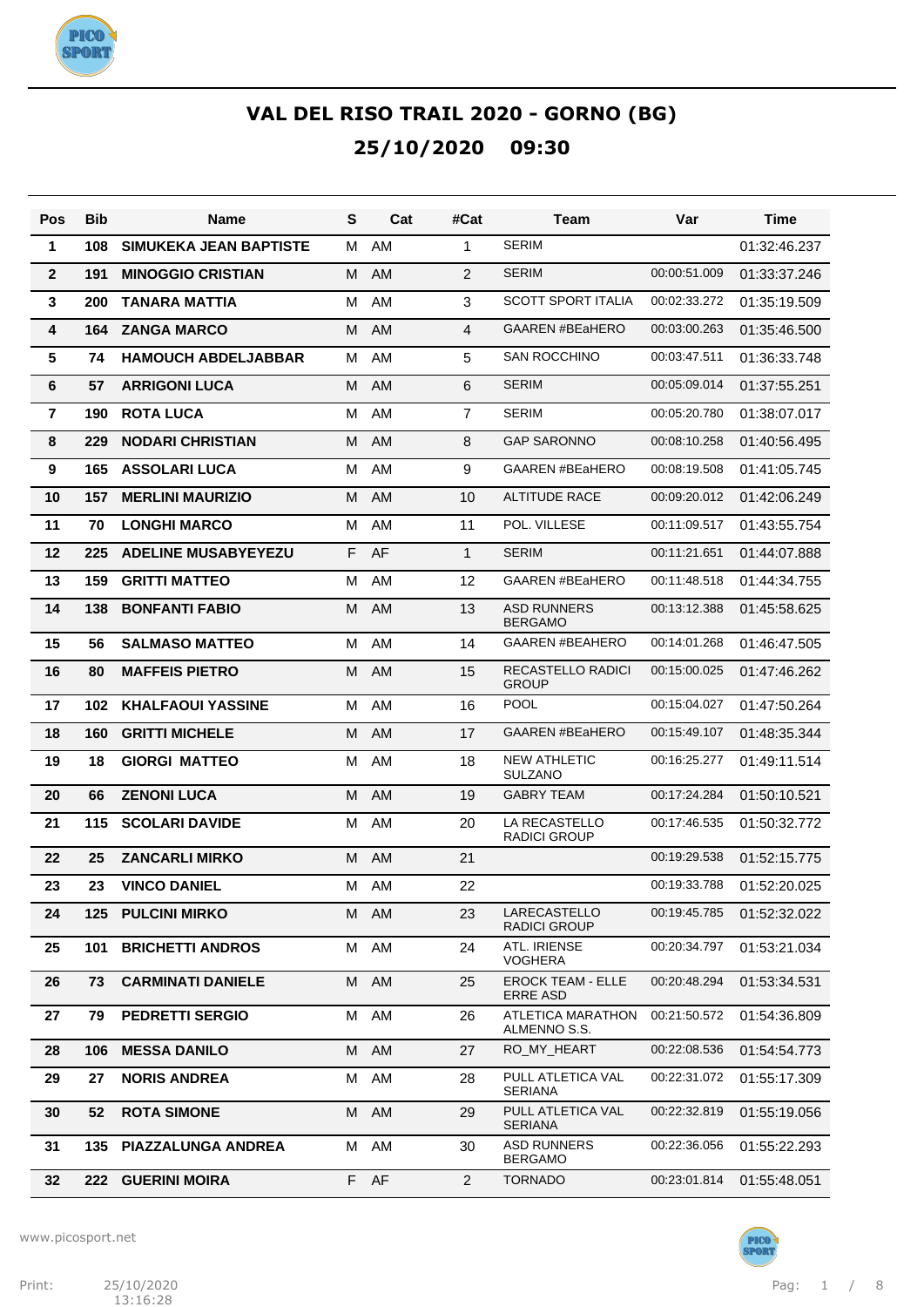

| Pos            | Bib | <b>Name</b>                   | S | Cat  | #Cat           | Team                                        | Var          | Time         |
|----------------|-----|-------------------------------|---|------|----------------|---------------------------------------------|--------------|--------------|
| 1              | 108 | <b>SIMUKEKA JEAN BAPTISTE</b> | M | AM   | 1              | <b>SERIM</b>                                |              | 01:32:46.237 |
| $\mathbf{2}$   | 191 | <b>MINOGGIO CRISTIAN</b>      | M | AM   | $\overline{2}$ | <b>SERIM</b>                                | 00:00:51.009 | 01:33:37.246 |
| 3              | 200 | <b>TANARA MATTIA</b>          | M | AM   | 3              | <b>SCOTT SPORT ITALIA</b>                   | 00:02:33.272 | 01:35:19.509 |
| 4              | 164 | <b>ZANGA MARCO</b>            | M | AM   | 4              | <b>GAAREN #BEaHERO</b>                      | 00:03:00.263 | 01:35:46.500 |
| 5              | 74  | <b>HAMOUCH ABDELJABBAR</b>    | М | AM   | 5              | <b>SAN ROCCHINO</b>                         | 00:03:47.511 | 01:36:33.748 |
| 6              | 57  | <b>ARRIGONI LUCA</b>          | M | AM   | 6              | <b>SERIM</b>                                | 00:05:09.014 | 01:37:55.251 |
| $\overline{7}$ | 190 | <b>ROTA LUCA</b>              | M | AM   | $\overline{7}$ | <b>SERIM</b>                                | 00:05:20.780 | 01:38:07.017 |
| 8              | 229 | <b>NODARI CHRISTIAN</b>       | M | AM   | 8              | <b>GAP SARONNO</b>                          | 00:08:10.258 | 01:40:56.495 |
| 9              | 165 | <b>ASSOLARI LUCA</b>          | M | AM   | 9              | <b>GAAREN #BEaHERO</b>                      | 00:08:19.508 | 01:41:05.745 |
| 10             | 157 | <b>MERLINI MAURIZIO</b>       | M | AM   | 10             | <b>ALTITUDE RACE</b>                        | 00:09:20.012 | 01:42:06.249 |
| 11             | 70  | <b>LONGHI MARCO</b>           | M | AM   | 11             | POL. VILLESE                                | 00:11:09.517 | 01:43:55.754 |
| 12             | 225 | <b>ADELINE MUSABYEYEZU</b>    |   | F AF | $\mathbf{1}$   | <b>SERIM</b>                                | 00:11:21.651 | 01:44:07.888 |
| 13             | 159 | <b>GRITTI MATTEO</b>          | м | AM   | 12             | <b>GAAREN #BEaHERO</b>                      | 00:11:48.518 | 01:44:34.755 |
| 14             | 138 | <b>BONFANTI FABIO</b>         | M | AM   | 13             | <b>ASD RUNNERS</b><br><b>BERGAMO</b>        | 00:13:12.388 | 01:45:58.625 |
| 15             | 56  | <b>SALMASO MATTEO</b>         | м | AM   | 14             | <b>GAAREN #BEAHERO</b>                      | 00:14:01.268 | 01:46:47.505 |
| 16             | 80  | <b>MAFFEIS PIETRO</b>         | м | AM   | 15             | RECASTELLO RADICI<br><b>GROUP</b>           | 00:15:00.025 | 01:47:46.262 |
| 17             | 102 | <b>KHALFAOUI YASSINE</b>      | М | AM   | 16             | <b>POOL</b>                                 | 00:15:04.027 | 01:47:50.264 |
| 18             | 160 | <b>GRITTI MICHELE</b>         | M | AM   | 17             | <b>GAAREN #BEaHERO</b>                      | 00:15:49.107 | 01:48:35.344 |
| 19             | 18  | <b>GIORGI MATTEO</b>          | M | AM   | 18             | NEW ATHLETIC<br><b>SULZANO</b>              | 00:16:25.277 | 01:49:11.514 |
| 20             | 66  | <b>ZENONI LUCA</b>            | M | AM   | 19             | <b>GABRY TEAM</b>                           | 00:17:24.284 | 01:50:10.521 |
| 21             | 115 | <b>SCOLARI DAVIDE</b>         | м | AM   | 20             | LA RECASTELLO<br><b>RADICI GROUP</b>        | 00:17:46.535 | 01:50:32.772 |
| 22             | 25  | <b>ZANCARLI MIRKO</b>         | м | AM   | 21             |                                             | 00:19:29.538 | 01:52:15.775 |
| 23             | 23  | <b>VINCO DANIEL</b>           | м | AM   | 22             |                                             | 00:19:33.788 | 01:52:20.025 |
| 24             |     | <b>125 PULCINI MIRKO</b>      |   | M AM | 23             | LARECASTELLO<br>RADICI GROUP                | 00:19:45.785 | 01:52:32.022 |
| 25             | 101 | <b>BRICHETTI ANDROS</b>       |   | M AM | 24             | ATL. IRIENSE<br><b>VOGHERA</b>              | 00:20:34.797 | 01:53:21.034 |
| 26             | 73  | <b>CARMINATI DANIELE</b>      |   | M AM | 25             | <b>EROCK TEAM - ELLE</b><br><b>ERRE ASD</b> | 00:20:48.294 | 01:53:34.531 |
| 27             | 79  | <b>PEDRETTI SERGIO</b>        |   | M AM | 26             | ATLETICA MARATHON<br>ALMENNO S.S.           | 00:21:50.572 | 01:54:36.809 |
| 28             | 106 | <b>MESSA DANILO</b>           |   | M AM | 27             | RO_MY_HEART                                 | 00:22:08.536 | 01:54:54.773 |
| 29             | 27  | <b>NORIS ANDREA</b>           | М | AM   | 28             | PULL ATLETICA VAL<br><b>SERIANA</b>         | 00:22:31.072 | 01:55:17.309 |
| 30             | 52  | <b>ROTA SIMONE</b>            |   | M AM | 29             | PULL ATLETICA VAL<br><b>SERIANA</b>         | 00:22:32.819 | 01:55:19.056 |
| 31             | 135 | <b>PIAZZALUNGA ANDREA</b>     |   | M AM | 30             | <b>ASD RUNNERS</b><br><b>BERGAMO</b>        | 00:22:36.056 | 01:55:22.293 |
| 32             | 222 | <b>GUERINI MOIRA</b>          |   | F AF | $\overline{2}$ | <b>TORNADO</b>                              | 00:23:01.814 | 01:55:48.051 |

www.picosport.net

 $13:16:28$ 

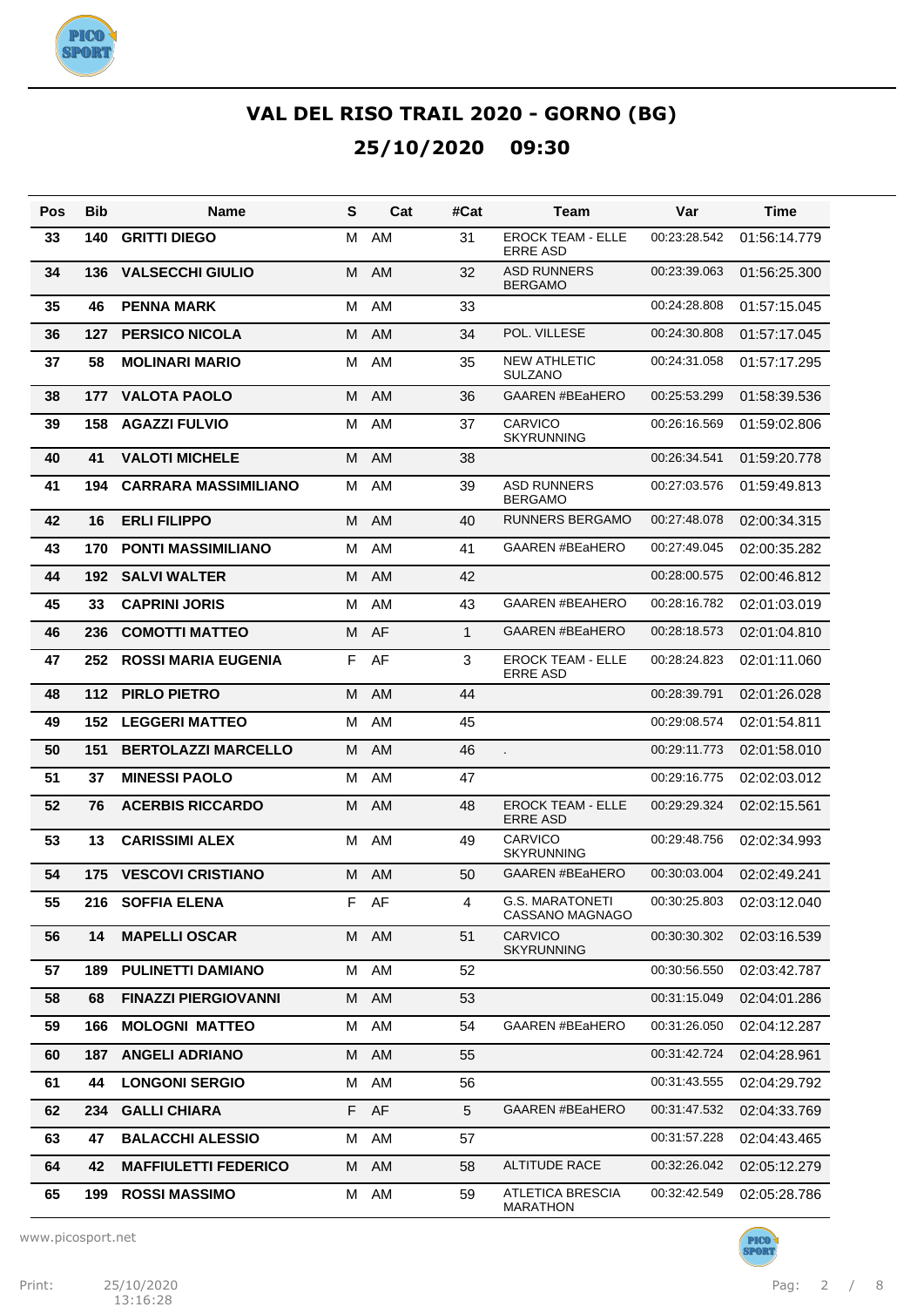

| Pos | <b>Bib</b> | <b>Name</b>                 | S  | Cat       | #Cat         | Team                                        | Var          | Time         |
|-----|------------|-----------------------------|----|-----------|--------------|---------------------------------------------|--------------|--------------|
| 33  | 140        | <b>GRITTI DIEGO</b>         | м  | AM        | 31           | <b>EROCK TEAM - ELLE</b><br><b>ERRE ASD</b> | 00:23:28.542 | 01:56:14.779 |
| 34  | 136        | <b>VALSECCHI GIULIO</b>     | M  | <b>AM</b> | 32           | <b>ASD RUNNERS</b><br><b>BERGAMO</b>        | 00:23:39.063 | 01:56:25.300 |
| 35  | 46         | <b>PENNA MARK</b>           | м  | AM        | 33           |                                             | 00:24:28.808 | 01:57:15.045 |
| 36  | 127        | <b>PERSICO NICOLA</b>       | M  | <b>AM</b> | 34           | POL. VILLESE                                | 00:24:30.808 | 01:57:17.045 |
| 37  | 58         | <b>MOLINARI MARIO</b>       | м  | AM        | 35           | <b>NEW ATHLETIC</b><br><b>SULZANO</b>       | 00:24:31.058 | 01:57:17.295 |
| 38  | 177        | <b>VALOTA PAOLO</b>         | м  | AM        | 36           | <b>GAAREN #BEaHERO</b>                      | 00:25:53.299 | 01:58:39.536 |
| 39  | 158        | <b>AGAZZI FULVIO</b>        | м  | AM        | 37           | <b>CARVICO</b><br><b>SKYRUNNING</b>         | 00:26:16.569 | 01:59:02.806 |
| 40  | 41         | <b>VALOTI MICHELE</b>       | M  | <b>AM</b> | 38           |                                             | 00:26:34.541 | 01:59:20.778 |
| 41  | 194        | <b>CARRARA MASSIMILIANO</b> | м  | AM        | 39           | <b>ASD RUNNERS</b><br><b>BERGAMO</b>        | 00:27:03.576 | 01:59:49.813 |
| 42  | 16         | <b>ERLI FILIPPO</b>         | м  | <b>AM</b> | 40           | <b>RUNNERS BERGAMO</b>                      | 00:27:48.078 | 02:00:34.315 |
| 43  | 170        | <b>PONTI MASSIMILIANO</b>   | M  | AM        | 41           | <b>GAAREN #BEaHERO</b>                      | 00:27:49.045 | 02:00:35.282 |
| 44  | 192        | <b>SALVI WALTER</b>         | м  | <b>AM</b> | 42           |                                             | 00:28:00.575 | 02:00:46.812 |
| 45  | 33         | <b>CAPRINI JORIS</b>        | M  | AM        | 43           | <b>GAAREN #BEAHERO</b>                      | 00:28:16.782 | 02:01:03.019 |
| 46  | 236        | <b>COMOTTI MATTEO</b>       | м  | AF        | $\mathbf{1}$ | <b>GAAREN #BEaHERO</b>                      | 00:28:18.573 | 02:01:04.810 |
| 47  | 252        | <b>ROSSI MARIA EUGENIA</b>  | F  | AF        | 3            | <b>EROCK TEAM - ELLE</b><br><b>ERRE ASD</b> | 00:28:24.823 | 02:01:11.060 |
| 48  | 112        | <b>PIRLO PIETRO</b>         | м  | AM        | 44           |                                             | 00:28:39.791 | 02:01:26.028 |
| 49  | 152        | <b>LEGGERI MATTEO</b>       | м  | AM        | 45           |                                             | 00:29:08.574 | 02:01:54.811 |
| 50  | 151        | <b>BERTOLAZZI MARCELLO</b>  | м  | AM        | 46           |                                             | 00:29:11.773 | 02:01:58.010 |
| 51  | 37         | <b>MINESSI PAOLO</b>        | M  | AM        | 47           |                                             | 00:29:16.775 | 02:02:03.012 |
| 52  | 76         | <b>ACERBIS RICCARDO</b>     | м  | <b>AM</b> | 48           | <b>EROCK TEAM - ELLE</b><br><b>ERRE ASD</b> | 00:29:29.324 | 02:02:15.561 |
| 53  | 13         | <b>CARISSIMI ALEX</b>       | м  | AM        | 49           | CARVICO<br><b>SKYRUNNING</b>                | 00:29:48.756 | 02:02:34.993 |
| 54  | 175        | <b>VESCOVI CRISTIANO</b>    | м  | AM        | 50           | <b>GAAREN #BEaHERO</b>                      | 00:30:03.004 | 02:02:49.241 |
| 55  |            | 216 SOFFIA ELENA            |    | F AF      | 4            | <b>G.S. MARATONETI</b><br>CASSANO MAGNAGO   | 00:30:25.803 | 02:03:12.040 |
| 56  | 14         | <b>MAPELLI OSCAR</b>        |    | M AM      | 51           | <b>CARVICO</b><br><b>SKYRUNNING</b>         | 00:30:30.302 | 02:03:16.539 |
| 57  | 189        | <b>PULINETTI DAMIANO</b>    | М  | AM        | 52           |                                             | 00:30:56.550 | 02:03:42.787 |
| 58  | 68         | <b>FINAZZI PIERGIOVANNI</b> | м  | AM        | 53           |                                             | 00:31:15.049 | 02:04:01.286 |
| 59  | 166        | <b>MOLOGNI MATTEO</b>       | м  | AM        | 54           | <b>GAAREN #BEaHERO</b>                      | 00:31:26.050 | 02:04:12.287 |
| 60  | 187        | <b>ANGELI ADRIANO</b>       | M  | AM        | 55           |                                             | 00:31:42.724 | 02:04:28.961 |
| 61  | 44         | <b>LONGONI SERGIO</b>       | м  | AM        | 56           |                                             | 00:31:43.555 | 02:04:29.792 |
| 62  | 234        | <b>GALLI CHIARA</b>         | F. | AF        | 5            | <b>GAAREN #BEaHERO</b>                      | 00:31:47.532 | 02:04:33.769 |
| 63  | 47         | <b>BALACCHI ALESSIO</b>     | М  | AM        | 57           |                                             | 00:31:57.228 | 02:04:43.465 |
| 64  | 42         | <b>MAFFIULETTI FEDERICO</b> | M  | AM        | 58           | <b>ALTITUDE RACE</b>                        | 00:32:26.042 | 02:05:12.279 |
| 65  | 199        | <b>ROSSI MASSIMO</b>        | М  | AM        | 59           | <b>ATLETICA BRESCIA</b><br><b>MARATHON</b>  | 00:32:42.549 | 02:05:28.786 |

www.picosport.net

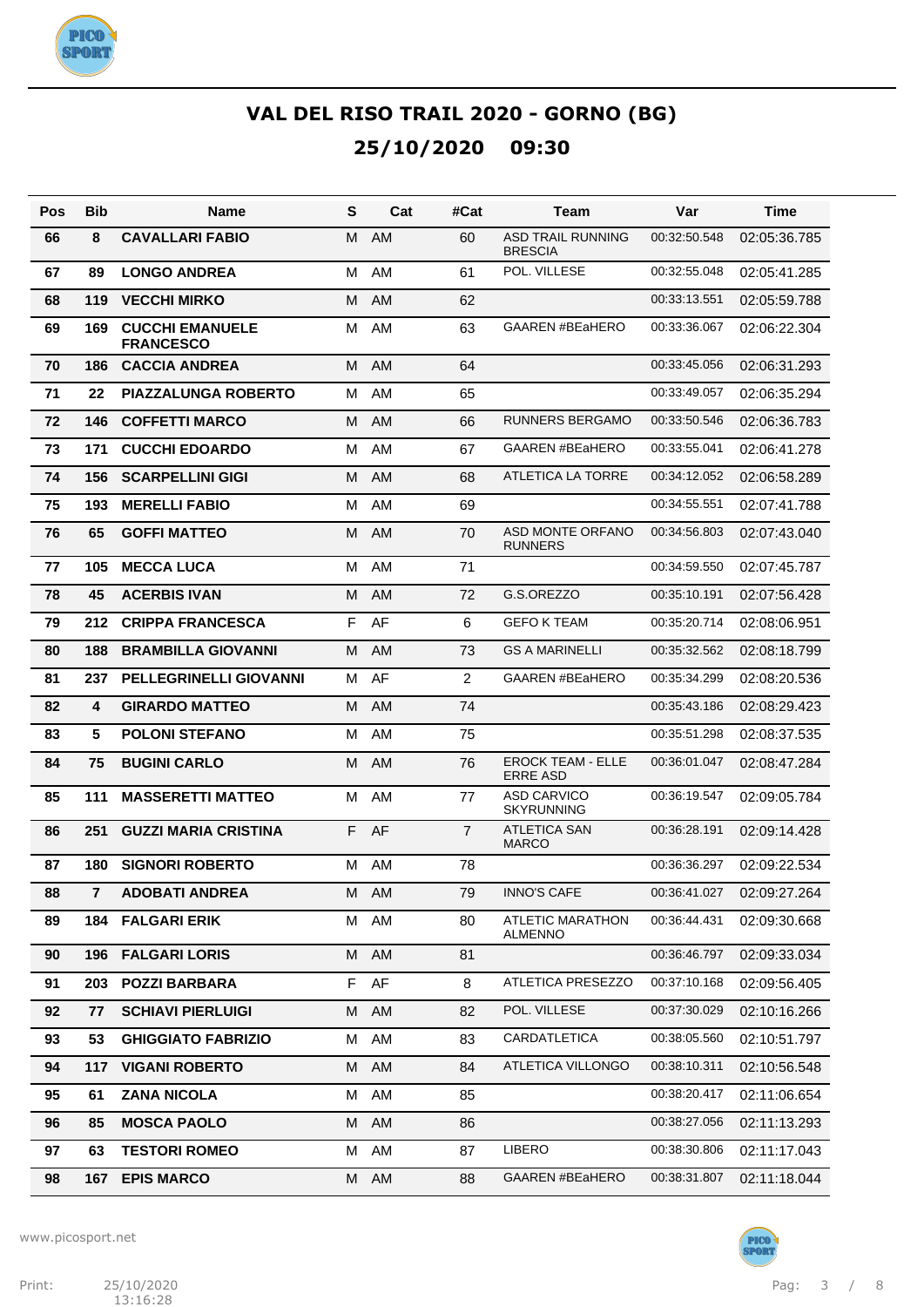

| Pos | <b>Bib</b>     | Name                                       | S  | Cat       | #Cat           | Team                                        | Var          | Time         |
|-----|----------------|--------------------------------------------|----|-----------|----------------|---------------------------------------------|--------------|--------------|
| 66  | 8              | <b>CAVALLARI FABIO</b>                     | м  | <b>AM</b> | 60             | <b>ASD TRAIL RUNNING</b><br><b>BRESCIA</b>  | 00:32:50.548 | 02:05:36.785 |
| 67  | 89             | <b>LONGO ANDREA</b>                        | M  | AM        | 61             | POL. VILLESE                                | 00:32:55.048 | 02:05:41.285 |
| 68  | 119            | <b>VECCHI MIRKO</b>                        | м  | AM        | 62             |                                             | 00:33:13.551 | 02:05:59.788 |
| 69  | 169            | <b>CUCCHI EMANUELE</b><br><b>FRANCESCO</b> | M  | AM        | 63             | <b>GAAREN #BEaHERO</b>                      | 00:33:36.067 | 02:06:22.304 |
| 70  | 186            | <b>CACCIA ANDREA</b>                       | M  | AM        | 64             |                                             | 00:33:45.056 | 02:06:31.293 |
| 71  | 22             | <b>PIAZZALUNGA ROBERTO</b>                 | м  | AM        | 65             |                                             | 00:33:49.057 | 02:06:35.294 |
| 72  | 146            | <b>COFFETTI MARCO</b>                      | M  | AM        | 66             | RUNNERS BERGAMO                             | 00:33:50.546 | 02:06:36.783 |
| 73  | 171            | <b>CUCCHI EDOARDO</b>                      | м  | AM        | 67             | <b>GAAREN #BEaHERO</b>                      | 00:33:55.041 | 02:06:41.278 |
| 74  | 156            | <b>SCARPELLINI GIGI</b>                    | M  | AM        | 68             | ATLETICA LA TORRE                           | 00:34:12.052 | 02:06:58.289 |
| 75  | 193            | <b>MERELLI FABIO</b>                       | м  | AM        | 69             |                                             | 00:34:55.551 | 02:07:41.788 |
| 76  | 65             | <b>GOFFI MATTEO</b>                        | M  | AM        | 70             | ASD MONTE ORFANO<br><b>RUNNERS</b>          | 00:34:56.803 | 02:07:43.040 |
| 77  | 105            | <b>MECCA LUCA</b>                          | M  | AM        | 71             |                                             | 00:34:59.550 | 02:07:45.787 |
| 78  | 45             | <b>ACERBIS IVAN</b>                        | M  | <b>AM</b> | 72             | G.S.OREZZO                                  | 00:35:10.191 | 02:07:56.428 |
| 79  | 212            | <b>CRIPPA FRANCESCA</b>                    | F  | AF        | 6              | <b>GEFO K TEAM</b>                          | 00:35:20.714 | 02:08:06.951 |
| 80  | 188            | <b>BRAMBILLA GIOVANNI</b>                  | M  | <b>AM</b> | 73             | <b>GS A MARINELLI</b>                       | 00:35:32.562 | 02:08:18.799 |
| 81  | 237            | <b>PELLEGRINELLI GIOVANNI</b>              | M  | AF        | $\overline{2}$ | <b>GAAREN #BEaHERO</b>                      | 00:35:34.299 | 02:08:20.536 |
| 82  | 4              | <b>GIRARDO MATTEO</b>                      | м  | <b>AM</b> | 74             |                                             | 00:35:43.186 | 02:08:29.423 |
| 83  | 5              | <b>POLONI STEFANO</b>                      | M  | AM        | 75             |                                             | 00:35:51.298 | 02:08:37.535 |
| 84  | 75             | <b>BUGINI CARLO</b>                        | м  | AM        | 76             | <b>EROCK TEAM - ELLE</b><br><b>ERRE ASD</b> | 00:36:01.047 | 02:08:47.284 |
| 85  | 111            | <b>MASSERETTI MATTEO</b>                   | м  | AM        | 77             | <b>ASD CARVICO</b><br><b>SKYRUNNING</b>     | 00:36:19.547 | 02:09:05.784 |
| 86  | 251            | <b>GUZZI MARIA CRISTINA</b>                | F  | AF        | $\overline{7}$ | <b>ATLETICA SAN</b><br><b>MARCO</b>         | 00:36:28.191 | 02:09:14.428 |
| 87  | 180            | <b>SIGNORI ROBERTO</b>                     | M  | AM        | 78             |                                             | 00:36:36.297 | 02:09:22.534 |
| 88  | $\overline{7}$ | <b>ADOBATI ANDREA</b>                      | М  | AM        | 79             | <b>INNO'S CAFE</b>                          | 00:36:41.027 | 02:09:27.264 |
| 89  |                | <b>184 FALGARI ERIK</b>                    |    | M AM      | 80             | ATLETIC MARATHON<br><b>ALMENNO</b>          | 00:36:44.431 | 02:09:30.668 |
| 90  |                | <b>196 FALGARI LORIS</b>                   |    | M AM      | 81             |                                             | 00:36:46.797 | 02:09:33.034 |
| 91  | 203            | <b>POZZI BARBARA</b>                       | F. | AF        | 8              | ATLETICA PRESEZZO                           | 00:37:10.168 | 02:09:56.405 |
| 92  | 77             | <b>SCHIAVI PIERLUIGI</b>                   | M  | AM        | 82             | POL. VILLESE                                | 00:37:30.029 | 02:10:16.266 |
| 93  | 53             | <b>GHIGGIATO FABRIZIO</b>                  | M  | AM        | 83             | CARDATLETICA                                | 00:38:05.560 | 02:10:51.797 |
| 94  | 117            | <b>VIGANI ROBERTO</b>                      | М  | AM        | 84             | ATLETICA VILLONGO                           | 00:38:10.311 | 02:10:56.548 |
| 95  | 61             | <b>ZANA NICOLA</b>                         | M  | AM        | 85             |                                             | 00:38:20.417 | 02:11:06.654 |
| 96  | 85             | <b>MOSCA PAOLO</b>                         | М  | AM        | 86             |                                             | 00:38:27.056 | 02:11:13.293 |
| 97  | 63             | <b>TESTORI ROMEO</b>                       | м  | AM        | 87             | <b>LIBERO</b>                               | 00:38:30.806 | 02:11:17.043 |
| 98  | 167            | <b>EPIS MARCO</b>                          |    | M AM      | 88             | GAAREN #BEaHERO                             | 00:38:31.807 | 02:11:18.044 |

www.picosport.net



PICO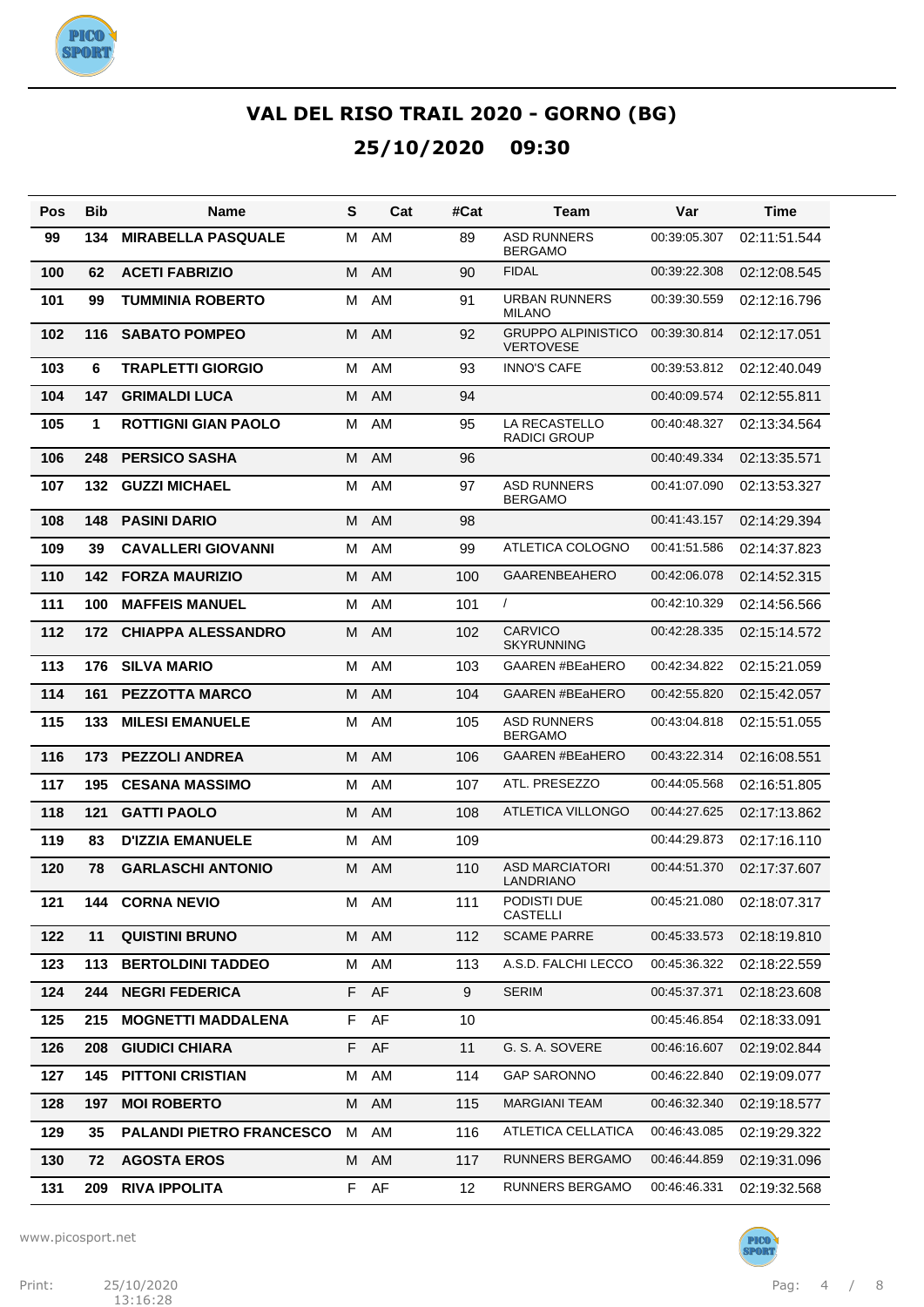

| Pos | Bib | Name                            | S  | Cat       | #Cat | Team                                          | Var          | Time         |
|-----|-----|---------------------------------|----|-----------|------|-----------------------------------------------|--------------|--------------|
| 99  | 134 | <b>MIRABELLA PASQUALE</b>       | м  | AM        | 89   | <b>ASD RUNNERS</b><br><b>BERGAMO</b>          | 00:39:05.307 | 02:11:51.544 |
| 100 | 62  | <b>ACETI FABRIZIO</b>           | м  | AM        | 90   | <b>FIDAL</b>                                  | 00:39:22.308 | 02:12:08.545 |
| 101 | 99  | <b>TUMMINIA ROBERTO</b>         | м  | AM        | 91   | <b>URBAN RUNNERS</b><br><b>MILANO</b>         | 00:39:30.559 | 02:12:16.796 |
| 102 | 116 | <b>SABATO POMPEO</b>            | м  | <b>AM</b> | 92   | <b>GRUPPO ALPINISTICO</b><br><b>VERTOVESE</b> | 00:39:30.814 | 02:12:17.051 |
| 103 | 6   | <b>TRAPLETTI GIORGIO</b>        | M  | AM        | 93   | <b>INNO'S CAFE</b>                            | 00:39:53.812 | 02:12:40.049 |
| 104 | 147 | <b>GRIMALDI LUCA</b>            | М  | <b>AM</b> | 94   |                                               | 00:40:09.574 | 02:12:55.811 |
| 105 | 1   | <b>ROTTIGNI GIAN PAOLO</b>      | м  | AM        | 95   | LA RECASTELLO<br><b>RADICI GROUP</b>          | 00:40:48.327 | 02:13:34.564 |
| 106 | 248 | <b>PERSICO SASHA</b>            | м  | AM        | 96   |                                               | 00:40:49.334 | 02:13:35.571 |
| 107 | 132 | <b>GUZZI MICHAEL</b>            | м  | AM        | 97   | <b>ASD RUNNERS</b><br><b>BERGAMO</b>          | 00:41:07.090 | 02:13:53.327 |
| 108 | 148 | <b>PASINI DARIO</b>             | м  | <b>AM</b> | 98   |                                               | 00:41:43.157 | 02:14:29.394 |
| 109 | 39  | <b>CAVALLERI GIOVANNI</b>       | м  | AM        | 99   | ATLETICA COLOGNO                              | 00:41:51.586 | 02:14:37.823 |
| 110 | 142 | <b>FORZA MAURIZIO</b>           | м  | <b>AM</b> | 100  | <b>GAARENBEAHERO</b>                          | 00:42:06.078 | 02:14:52.315 |
| 111 | 100 | <b>MAFFEIS MANUEL</b>           | м  | AM        | 101  | $\prime$                                      | 00:42:10.329 | 02:14:56.566 |
| 112 | 172 | <b>CHIAPPA ALESSANDRO</b>       | м  | <b>AM</b> | 102  | <b>CARVICO</b><br><b>SKYRUNNING</b>           | 00:42:28.335 | 02:15:14.572 |
| 113 | 176 | <b>SILVA MARIO</b>              | M  | AM        | 103  | <b>GAAREN #BEaHERO</b>                        | 00:42:34.822 | 02:15:21.059 |
| 114 | 161 | <b>PEZZOTTA MARCO</b>           | М  | <b>AM</b> | 104  | <b>GAAREN #BEaHERO</b>                        | 00:42:55.820 | 02:15:42.057 |
| 115 | 133 | <b>MILESI EMANUELE</b>          | M  | AM        | 105  | <b>ASD RUNNERS</b><br><b>BERGAMO</b>          | 00:43:04.818 | 02:15:51.055 |
| 116 | 173 | <b>PEZZOLI ANDREA</b>           | м  | AM        | 106  | <b>GAAREN #BEaHERO</b>                        | 00:43:22.314 | 02:16:08.551 |
| 117 | 195 | <b>CESANA MASSIMO</b>           | м  | AM        | 107  | ATL. PRESEZZO                                 | 00:44:05.568 | 02:16:51.805 |
| 118 | 121 | <b>GATTI PAOLO</b>              | М  | <b>AM</b> | 108  | <b>ATLETICA VILLONGO</b>                      | 00:44:27.625 | 02:17:13.862 |
| 119 | 83  | <b>D'IZZIA EMANUELE</b>         | м  | AM        | 109  |                                               | 00:44:29.873 | 02:17:16.110 |
| 120 | 78  | <b>GARLASCHI ANTONIO</b>        | М  | AM        | 110  | <b>ASD MARCIATORI</b><br>LANDRIANO            | 00:44:51.370 | 02:17:37.607 |
| 121 | 144 | <b>CORNA NEVIO</b>              |    | M AM      | 111  | PODISTI DUE<br><b>CASTELLI</b>                | 00:45:21.080 | 02:18:07.317 |
| 122 | 11  | <b>QUISTINI BRUNO</b>           | М  | AM        | 112  | <b>SCAME PARRE</b>                            | 00:45:33.573 | 02:18:19.810 |
| 123 | 113 | <b>BERTOLDINI TADDEO</b>        | М  | AM        | 113  | A.S.D. FALCHI LECCO                           | 00:45:36.322 | 02:18:22.559 |
| 124 | 244 | <b>NEGRI FEDERICA</b>           | F  | AF        | 9    | <b>SERIM</b>                                  | 00:45:37.371 | 02:18:23.608 |
| 125 | 215 | <b>MOGNETTI MADDALENA</b>       | F  | AF        | 10   |                                               | 00:45:46.854 | 02:18:33.091 |
| 126 | 208 | <b>GIUDICI CHIARA</b>           | F  | AF        | 11   | G. S. A. SOVERE                               | 00:46:16.607 | 02:19:02.844 |
| 127 | 145 | <b>PITTONI CRISTIAN</b>         | М  | AM        | 114  | <b>GAP SARONNO</b>                            | 00:46:22.840 | 02:19:09.077 |
| 128 | 197 | <b>MOI ROBERTO</b>              | М  | AM        | 115  | <b>MARGIANI TEAM</b>                          | 00:46:32.340 | 02:19:18.577 |
| 129 | 35  | <b>PALANDI PIETRO FRANCESCO</b> | М  | AM        | 116  | ATLETICA CELLATICA                            | 00:46:43.085 | 02:19:29.322 |
| 130 | 72  | <b>AGOSTA EROS</b>              | М  | AM        | 117  | RUNNERS BERGAMO                               | 00:46:44.859 | 02:19:31.096 |
| 131 | 209 | <b>RIVA IPPOLITA</b>            | F. | AF        | 12   | RUNNERS BERGAMO                               | 00:46:46.331 | 02:19:32.568 |

www.picosport.net

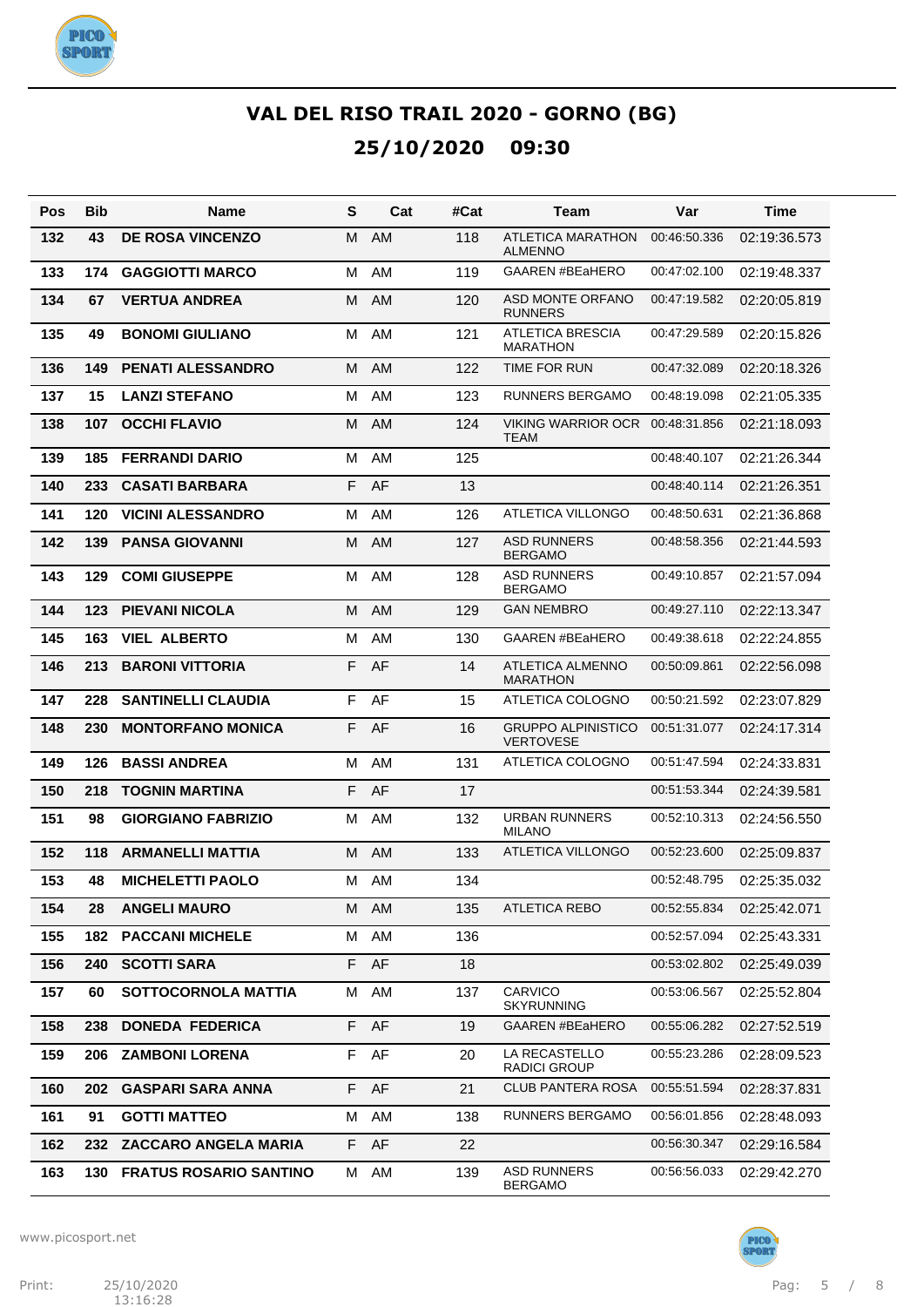

| Pos | Bib | Name                          | S  | Cat       | #Cat | Team                                          | Var          | Time         |
|-----|-----|-------------------------------|----|-----------|------|-----------------------------------------------|--------------|--------------|
| 132 | 43  | <b>DE ROSA VINCENZO</b>       | м  | <b>AM</b> | 118  | <b>ATLETICA MARATHON</b><br><b>ALMENNO</b>    | 00:46:50.336 | 02:19:36.573 |
| 133 | 174 | <b>GAGGIOTTI MARCO</b>        | м  | AM        | 119  | <b>GAAREN #BEaHERO</b>                        | 00:47:02.100 | 02:19:48.337 |
| 134 | 67  | <b>VERTUA ANDREA</b>          | м  | AM        | 120  | ASD MONTE ORFANO<br><b>RUNNERS</b>            | 00:47:19.582 | 02:20:05.819 |
| 135 | 49  | <b>BONOMI GIULIANO</b>        | м  | AM        | 121  | <b>ATLETICA BRESCIA</b><br><b>MARATHON</b>    | 00:47:29.589 | 02:20:15.826 |
| 136 | 149 | <b>PENATI ALESSANDRO</b>      | м  | <b>AM</b> | 122  | TIME FOR RUN                                  | 00:47:32.089 | 02:20:18.326 |
| 137 | 15  | <b>LANZI STEFANO</b>          | м  | AM        | 123  | <b>RUNNERS BERGAMO</b>                        | 00:48:19.098 | 02:21:05.335 |
| 138 | 107 | <b>OCCHI FLAVIO</b>           | м  | AM        | 124  | VIKING WARRIOR OCR<br>TEAM                    | 00:48:31.856 | 02:21:18.093 |
| 139 | 185 | <b>FERRANDI DARIO</b>         | м  | AM        | 125  |                                               | 00:48:40.107 | 02:21:26.344 |
| 140 | 233 | <b>CASATI BARBARA</b>         | F. | AF        | 13   |                                               | 00:48:40.114 | 02:21:26.351 |
| 141 | 120 | <b>VICINI ALESSANDRO</b>      | м  | AM        | 126  | ATLETICA VILLONGO                             | 00:48:50.631 | 02:21:36.868 |
| 142 | 139 | <b>PANSA GIOVANNI</b>         | м  | AM        | 127  | <b>ASD RUNNERS</b><br><b>BERGAMO</b>          | 00:48:58.356 | 02:21:44.593 |
| 143 | 129 | <b>COMI GIUSEPPE</b>          | м  | AM        | 128  | <b>ASD RUNNERS</b><br><b>BERGAMO</b>          | 00:49:10.857 | 02:21:57.094 |
| 144 | 123 | <b>PIEVANI NICOLA</b>         | м  | <b>AM</b> | 129  | <b>GAN NEMBRO</b>                             | 00:49:27.110 | 02:22:13.347 |
| 145 | 163 | <b>VIEL ALBERTO</b>           | м  | AM        | 130  | <b>GAAREN #BEaHERO</b>                        | 00:49:38.618 | 02:22:24.855 |
| 146 | 213 | <b>BARONI VITTORIA</b>        | F. | AF        | 14   | ATLETICA ALMENNO<br><b>MARATHON</b>           | 00:50:09.861 | 02:22:56.098 |
| 147 | 228 | <b>SANTINELLI CLAUDIA</b>     | F  | AF        | 15   | ATLETICA COLOGNO                              | 00:50:21.592 | 02:23:07.829 |
| 148 | 230 | <b>MONTORFANO MONICA</b>      | F  | AF        | 16   | <b>GRUPPO ALPINISTICO</b><br><b>VERTOVESE</b> | 00:51:31.077 | 02:24:17.314 |
| 149 | 126 | <b>BASSI ANDREA</b>           | м  | AM        | 131  | ATLETICA COLOGNO                              | 00:51:47.594 | 02:24:33.831 |
| 150 | 218 | <b>TOGNIN MARTINA</b>         | F  | AF        | 17   |                                               | 00:51:53.344 | 02:24:39.581 |
| 151 | 98  | <b>GIORGIANO FABRIZIO</b>     | м  | AM        | 132  | <b>URBAN RUNNERS</b><br><b>MILANO</b>         | 00:52:10.313 | 02:24:56.550 |
| 152 | 118 | <b>ARMANELLI MATTIA</b>       | М  | AM.       | 133  | <b>ATLETICA VILLONGO</b>                      | 00:52:23.600 | 02:25:09.837 |
| 153 | 48  | <b>MICHELETTI PAOLO</b>       | M  | AM        | 134  |                                               | 00:52:48.795 | 02:25:35.032 |
| 154 | 28  | <b>ANGELI MAURO</b>           |    | M AM      | 135  | <b>ATLETICA REBO</b>                          | 00:52:55.834 | 02:25:42.071 |
| 155 | 182 | <b>PACCANI MICHELE</b>        | м  | AM        | 136  |                                               | 00:52:57.094 | 02:25:43.331 |
| 156 | 240 | <b>SCOTTI SARA</b>            | F  | AF        | 18   |                                               | 00:53:02.802 | 02:25:49.039 |
| 157 | 60  | <b>SOTTOCORNOLA MATTIA</b>    | м  | AM        | 137  | CARVICO<br><b>SKYRUNNING</b>                  | 00:53:06.567 | 02:25:52.804 |
| 158 | 238 | <b>DONEDA FEDERICA</b>        | F. | AF        | 19   | <b>GAAREN #BEaHERO</b>                        | 00:55:06.282 | 02:27:52.519 |
| 159 | 206 | <b>ZAMBONI LORENA</b>         | F  | AF        | 20   | LA RECASTELLO<br><b>RADICI GROUP</b>          | 00:55:23.286 | 02:28:09.523 |
| 160 | 202 | <b>GASPARI SARA ANNA</b>      | F. | AF        | 21   | <b>CLUB PANTERA ROSA</b>                      | 00:55:51.594 | 02:28:37.831 |
| 161 | 91  | <b>GOTTI MATTEO</b>           | М  | AM        | 138  | RUNNERS BERGAMO                               | 00:56:01.856 | 02:28:48.093 |
| 162 | 232 | <b>ZACCARO ANGELA MARIA</b>   | F. | AF        | 22   |                                               | 00:56:30.347 | 02:29:16.584 |
| 163 | 130 | <b>FRATUS ROSARIO SANTINO</b> | М  | AM        | 139  | <b>ASD RUNNERS</b><br><b>BERGAMO</b>          | 00:56:56.033 | 02:29:42.270 |

www.picosport.net



PICO<sup>)</sup><br>SPORT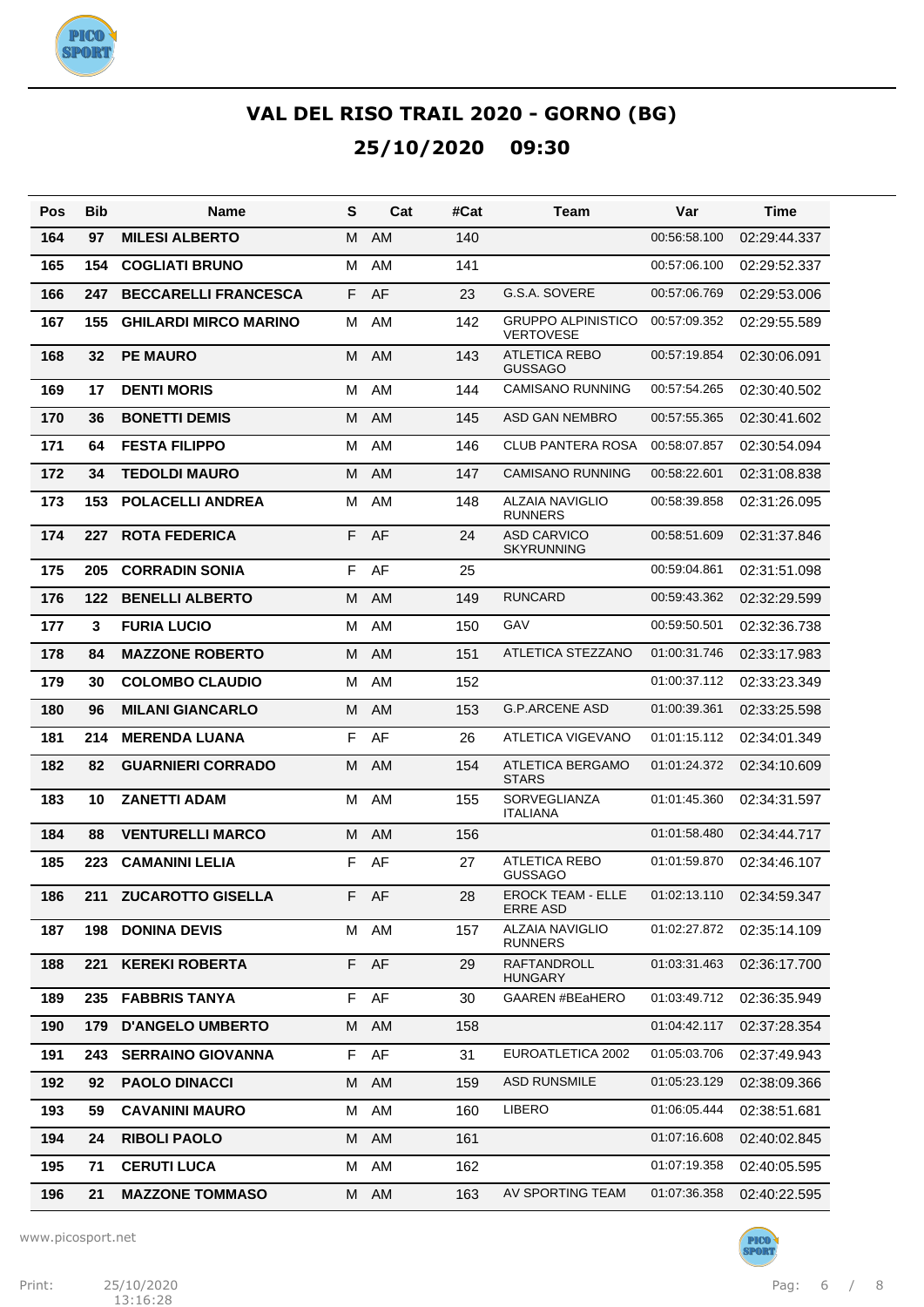

| Pos | Bib | <b>Name</b>                  | S  | Cat       | #Cat | Team                                          | Var          | Time                        |
|-----|-----|------------------------------|----|-----------|------|-----------------------------------------------|--------------|-----------------------------|
| 164 | 97  | <b>MILESI ALBERTO</b>        | м  | AM        | 140  |                                               | 00:56:58.100 | 02:29:44.337                |
| 165 | 154 | <b>COGLIATI BRUNO</b>        | м  | AM        | 141  |                                               | 00:57:06.100 | 02:29:52.337                |
| 166 | 247 | <b>BECCARELLI FRANCESCA</b>  | F. | AF        | 23   | G.S.A. SOVERE                                 | 00:57:06.769 | 02:29:53.006                |
| 167 | 155 | <b>GHILARDI MIRCO MARINO</b> | м  | AM        | 142  | <b>GRUPPO ALPINISTICO</b><br><b>VERTOVESE</b> | 00:57:09.352 | 02:29:55.589                |
| 168 | 32  | <b>PE MAURO</b>              | м  | AM        | 143  | <b>ATLETICA REBO</b><br><b>GUSSAGO</b>        | 00:57:19.854 | 02:30:06.091                |
| 169 | 17  | <b>DENTI MORIS</b>           | М  | AM        | 144  | <b>CAMISANO RUNNING</b>                       | 00:57:54.265 | 02:30:40.502                |
| 170 | 36  | <b>BONETTI DEMIS</b>         | м  | <b>AM</b> | 145  | ASD GAN NEMBRO                                | 00:57:55.365 | 02:30:41.602                |
| 171 | 64  | <b>FESTA FILIPPO</b>         | M  | AM        | 146  | <b>CLUB PANTERA ROSA</b>                      | 00:58:07.857 | 02:30:54.094                |
| 172 | 34  | <b>TEDOLDI MAURO</b>         | м  | <b>AM</b> | 147  | <b>CAMISANO RUNNING</b>                       | 00:58:22.601 | 02:31:08.838                |
| 173 | 153 | <b>POLACELLI ANDREA</b>      | м  | AM        | 148  | <b>ALZAIA NAVIGLIO</b><br><b>RUNNERS</b>      | 00:58:39.858 | 02:31:26.095                |
| 174 | 227 | <b>ROTA FEDERICA</b>         | F  | AF        | 24   | <b>ASD CARVICO</b><br><b>SKYRUNNING</b>       | 00:58:51.609 | 02:31:37.846                |
| 175 | 205 | <b>CORRADIN SONIA</b>        | F  | AF        | 25   |                                               | 00:59:04.861 | 02:31:51.098                |
| 176 | 122 | <b>BENELLI ALBERTO</b>       | м  | AM        | 149  | <b>RUNCARD</b>                                | 00:59:43.362 | 02:32:29.599                |
| 177 | 3   | <b>FURIA LUCIO</b>           | м  | AM        | 150  | GAV                                           | 00:59:50.501 | 02:32:36.738                |
| 178 | 84  | <b>MAZZONE ROBERTO</b>       | м  | AM        | 151  | ATLETICA STEZZANO                             | 01:00:31.746 | 02:33:17.983                |
| 179 | 30  | <b>COLOMBO CLAUDIO</b>       | м  | AM        | 152  |                                               | 01:00:37.112 | 02:33:23.349                |
| 180 | 96  | <b>MILANI GIANCARLO</b>      | м  | <b>AM</b> | 153  | <b>G.P.ARCENE ASD</b>                         | 01:00:39.361 | 02:33:25.598                |
| 181 | 214 | <b>MERENDA LUANA</b>         | F  | AF        | 26   | ATLETICA VIGEVANO                             | 01:01:15.112 | 02:34:01.349                |
| 182 | 82  | <b>GUARNIERI CORRADO</b>     | м  | AM        | 154  | ATLETICA BERGAMO<br><b>STARS</b>              | 01:01:24.372 | 02:34:10.609                |
| 183 | 10  | <b>ZANETTI ADAM</b>          | м  | AM        | 155  | <b>SORVEGLIANZA</b><br><b>ITALIANA</b>        | 01:01:45.360 | 02:34:31.597                |
| 184 | 88  | <b>VENTURELLI MARCO</b>      | м  | AM        | 156  |                                               | 01:01:58.480 | 02:34:44.717                |
| 185 | 223 | <b>CAMANINI LELIA</b>        | F  | AF        | 27   | <b>ATLETICA REBO</b><br><b>GUSSAGO</b>        | 01:01:59.870 | 02:34:46.107                |
| 186 |     | 211 ZUCAROTTO GISELLA        | F. | AF        | 28   | <b>EROCK TEAM - ELLE</b><br><b>ERRE ASD</b>   |              | 01:02:13.110   02:34:59.347 |
| 187 | 198 | <b>DONINA DEVIS</b>          |    | M AM      | 157  | <b>ALZAIA NAVIGLIO</b><br><b>RUNNERS</b>      | 01:02:27.872 | 02:35:14.109                |
| 188 | 221 | <b>KEREKI ROBERTA</b>        |    | F AF      | 29   | <b>RAFTANDROLL</b><br><b>HUNGARY</b>          | 01:03:31.463 | 02:36:17.700                |
| 189 |     | 235 FABBRIS TANYA            |    | F AF      | 30   | GAAREN #BEaHERO                               | 01:03:49.712 | 02:36:35.949                |
| 190 | 179 | <b>D'ANGELO UMBERTO</b>      |    | M AM      | 158  |                                               | 01:04:42.117 | 02:37:28.354                |
| 191 | 243 | <b>SERRAINO GIOVANNA</b>     |    | F AF      | 31   | EUROATLETICA 2002                             | 01:05:03.706 | 02:37:49.943                |
| 192 | 92  | <b>PAOLO DINACCI</b>         |    | M AM      | 159  | <b>ASD RUNSMILE</b>                           | 01:05:23.129 | 02:38:09.366                |
| 193 | 59  | <b>CAVANINI MAURO</b>        | M  | AM        | 160  | <b>LIBERO</b>                                 | 01:06:05.444 | 02:38:51.681                |
| 194 | 24  | <b>RIBOLI PAOLO</b>          |    | M AM      | 161  |                                               | 01:07:16.608 | 02:40:02.845                |
| 195 | 71  | <b>CERUTI LUCA</b>           | М  | AM        | 162  |                                               | 01:07:19.358 | 02:40:05.595                |
| 196 | 21  | <b>MAZZONE TOMMASO</b>       |    | M AM      | 163  | AV SPORTING TEAM                              | 01:07:36.358 | 02:40:22.595                |

www.picosport.net

PICO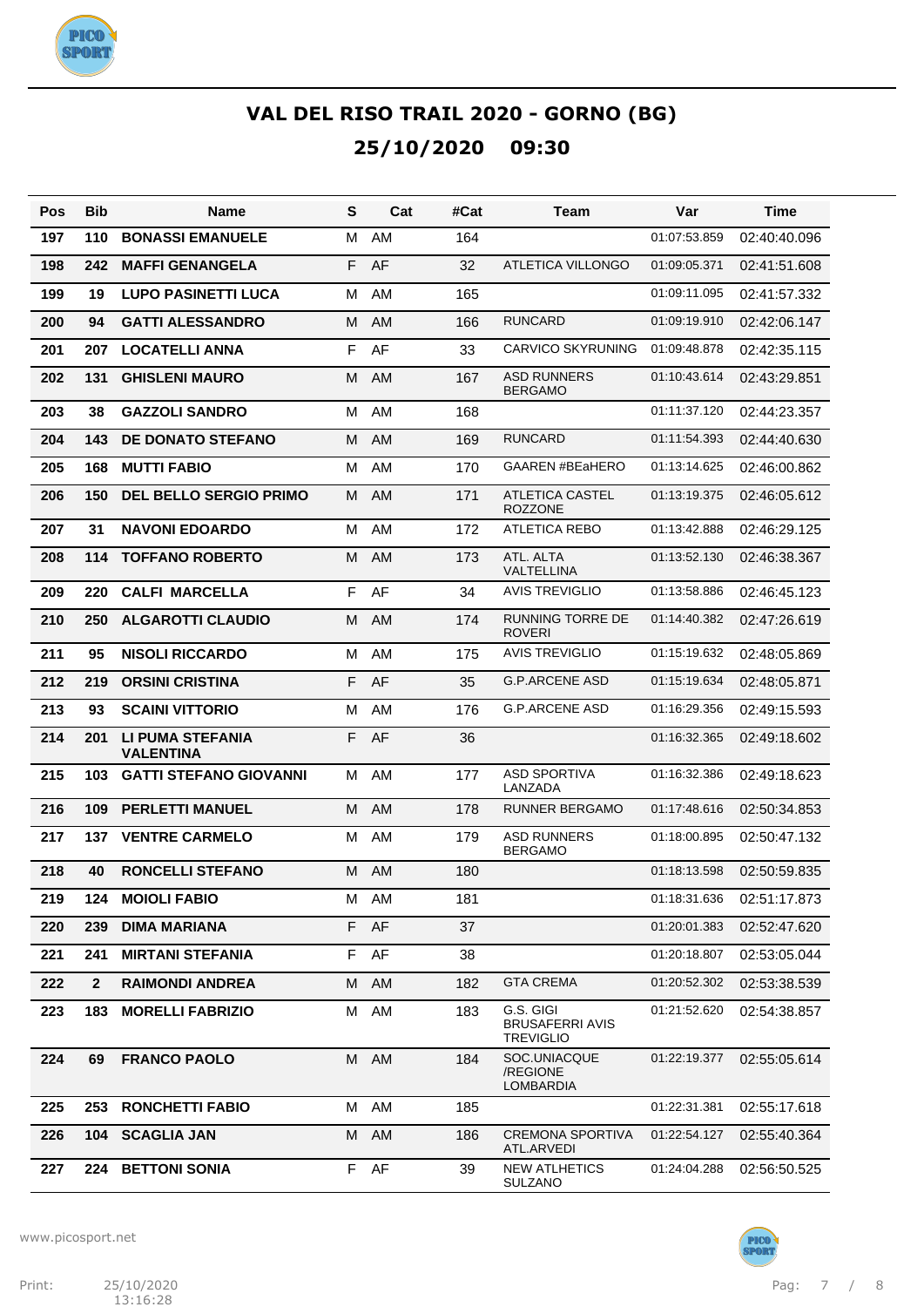

| Pos | <b>Bib</b>   | Name                                 | S | Cat       | #Cat | Team                                                    | Var          | Time         |
|-----|--------------|--------------------------------------|---|-----------|------|---------------------------------------------------------|--------------|--------------|
| 197 | 110          | <b>BONASSI EMANUELE</b>              | м | AM        | 164  |                                                         | 01:07:53.859 | 02:40:40.096 |
| 198 | 242          | <b>MAFFI GENANGELA</b>               | F | AF        | 32   | ATLETICA VILLONGO                                       | 01:09:05.371 | 02:41:51.608 |
| 199 | 19           | <b>LUPO PASINETTI LUCA</b>           | м | AM        | 165  |                                                         | 01:09:11.095 | 02:41:57.332 |
| 200 | 94           | <b>GATTI ALESSANDRO</b>              | м | AM.       | 166  | <b>RUNCARD</b>                                          | 01:09:19.910 | 02:42:06.147 |
| 201 | 207          | <b>LOCATELLI ANNA</b>                | F | AF        | 33   | <b>CARVICO SKYRUNING</b>                                | 01:09:48.878 | 02:42:35.115 |
| 202 | 131          | <b>GHISLENI MAURO</b>                | М | <b>AM</b> | 167  | <b>ASD RUNNERS</b><br><b>BERGAMO</b>                    | 01:10:43.614 | 02:43:29.851 |
| 203 | 38           | <b>GAZZOLI SANDRO</b>                | М | AM        | 168  |                                                         | 01:11:37.120 | 02:44:23.357 |
| 204 | 143          | <b>DE DONATO STEFANO</b>             | M | AM        | 169  | <b>RUNCARD</b>                                          | 01:11:54.393 | 02:44:40.630 |
| 205 | 168          | <b>MUTTI FABIO</b>                   | м | AM        | 170  | <b>GAAREN #BEaHERO</b>                                  | 01:13:14.625 | 02:46:00.862 |
| 206 | 150          | <b>DEL BELLO SERGIO PRIMO</b>        | M | AM        | 171  | ATLETICA CASTEL<br><b>ROZZONE</b>                       | 01:13:19.375 | 02:46:05.612 |
| 207 | 31           | <b>NAVONI EDOARDO</b>                | м | AM        | 172  | <b>ATLETICA REBO</b>                                    | 01:13:42.888 | 02:46:29.125 |
| 208 | 114          | <b>TOFFANO ROBERTO</b>               | М | <b>AM</b> | 173  | ATL. ALTA<br>VALTELLINA                                 | 01:13:52.130 | 02:46:38.367 |
| 209 | 220          | <b>CALFI MARCELLA</b>                | F | AF        | 34   | <b>AVIS TREVIGLIO</b>                                   | 01:13:58.886 | 02:46:45.123 |
| 210 | 250          | <b>ALGAROTTI CLAUDIO</b>             | м | AM        | 174  | <b>RUNNING TORRE DE</b><br><b>ROVERI</b>                | 01:14:40.382 | 02:47:26.619 |
| 211 | 95           | <b>NISOLI RICCARDO</b>               | м | AM        | 175  | <b>AVIS TREVIGLIO</b>                                   | 01:15:19.632 | 02:48:05.869 |
| 212 | 219          | <b>ORSINI CRISTINA</b>               | F | AF        | 35   | <b>G.P.ARCENE ASD</b>                                   | 01:15:19.634 | 02:48:05.871 |
| 213 | 93           | <b>SCAINI VITTORIO</b>               | М | AM        | 176  | <b>G.P.ARCENE ASD</b>                                   | 01:16:29.356 | 02:49:15.593 |
| 214 | 201          | LI PUMA STEFANIA<br><b>VALENTINA</b> | F | AF        | 36   |                                                         | 01:16:32.365 | 02:49:18.602 |
| 215 | 103          | <b>GATTI STEFANO GIOVANNI</b>        | M | AM        | 177  | <b>ASD SPORTIVA</b><br>LANZADA                          | 01:16:32.386 | 02:49:18.623 |
| 216 | 109          | <b>PERLETTI MANUEL</b>               | м | <b>AM</b> | 178  | <b>RUNNER BERGAMO</b>                                   | 01:17:48.616 | 02:50:34.853 |
| 217 | 137          | <b>VENTRE CARMELO</b>                | м | AM        | 179  | <b>ASD RUNNERS</b><br><b>BERGAMO</b>                    | 01:18:00.895 | 02:50:47.132 |
| 218 | 40           | <b>RONCELLI STEFANO</b>              | М | AM.       | 180  |                                                         | 01:18:13.598 | 02:50:59.835 |
| 219 | 124          | <b>MOIOLI FABIO</b>                  | M | AM        | 181  |                                                         | 01:18:31.636 | 02:51:17.873 |
| 220 | 239          | <b>DIMA MARIANA</b>                  | F | AF        | 37   |                                                         | 01:20:01.383 | 02:52:47.620 |
| 221 | 241          | <b>MIRTANI STEFANIA</b>              | F | AF        | 38   |                                                         | 01:20:18.807 | 02:53:05.044 |
| 222 | $\mathbf{2}$ | <b>RAIMONDI ANDREA</b>               | М | AM        | 182  | <b>GTA CREMA</b>                                        | 01:20:52.302 | 02:53:38.539 |
| 223 | 183          | <b>MORELLI FABRIZIO</b>              | м | AM        | 183  | G.S. GIGI<br><b>BRUSAFERRI AVIS</b><br><b>TREVIGLIO</b> | 01:21:52.620 | 02:54:38.857 |
| 224 | 69           | <b>FRANCO PAOLO</b>                  |   | M AM      | 184  | SOC.UNIACQUE<br>/REGIONE<br>LOMBARDIA                   | 01:22:19.377 | 02:55:05.614 |
| 225 | 253          | <b>RONCHETTI FABIO</b>               |   | M AM      | 185  |                                                         | 01:22:31.381 | 02:55:17.618 |
| 226 | 104          | <b>SCAGLIA JAN</b>                   | M | AM        | 186  | <b>CREMONA SPORTIVA</b><br>ATL.ARVEDI                   | 01:22:54.127 | 02:55:40.364 |
| 227 | 224          | <b>BETTONI SONIA</b>                 | F | AF        | 39   | <b>NEW ATLHETICS</b><br><b>SULZANO</b>                  | 01:24:04.288 | 02:56:50.525 |

www.picosport.net



PICO<sup>.</sup><br>SPORT